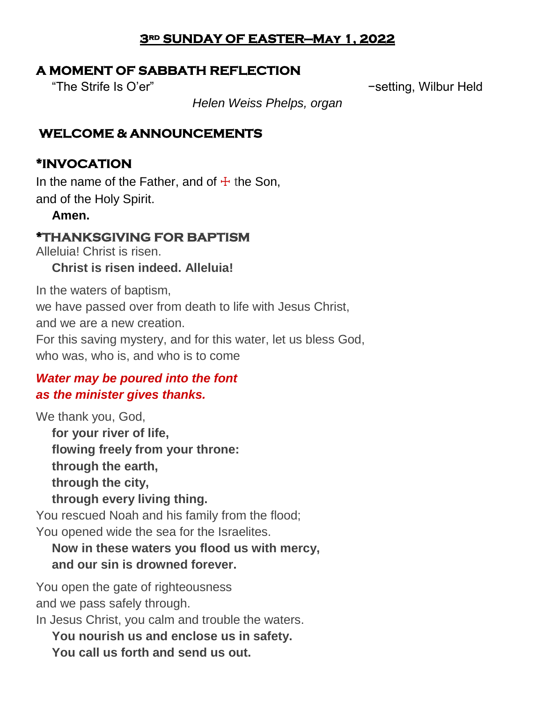### **3rd SUNDAY OF EASTER—May 1, 2022**

# **A MOMENT OF SABBATH REFLECTION**

"The Strife Is O'er" −setting, Wilbur Held

*Helen Weiss Phelps, organ*

# **WELCOME & ANNOUNCEMENTS**

# **\*INVOCATION**

In the name of the Father, and of  $\pm$  the Son, and of the Holy Spirit.

## **Amen.**

# **\*THANKSGIVING FOR BAPTISM**

Alleluia! Christ is risen.

# **Christ is risen indeed. Alleluia!**

In the waters of baptism,

we have passed over from death to life with Jesus Christ,

and we are a new creation.

For this saving mystery, and for this water, let us bless God, who was, who is, and who is to come

# *Water may be poured into the font as the minister gives thanks.*

We thank you, God,

**for your river of life, flowing freely from your throne: through the earth, through the city, through every living thing.**

You rescued Noah and his family from the flood; You opened wide the sea for the Israelites.

# **Now in these waters you flood us with mercy, and our sin is drowned forever.**

You open the gate of righteousness and we pass safely through.

In Jesus Christ, you calm and trouble the waters.

**You nourish us and enclose us in safety.**

**You call us forth and send us out.**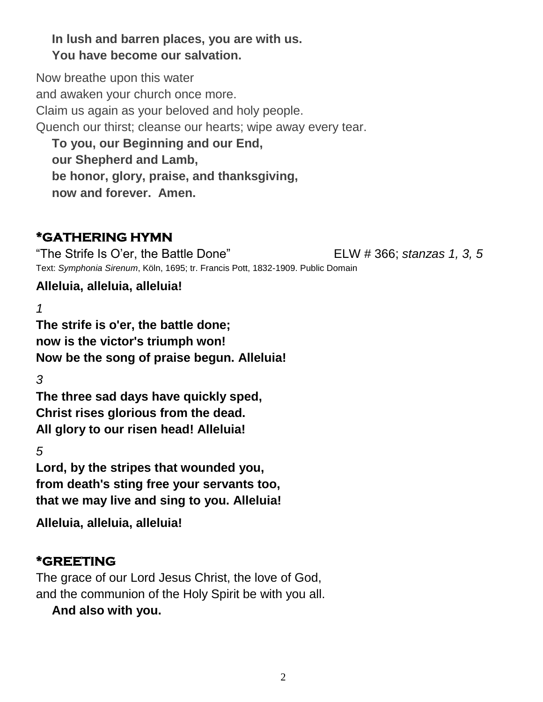## **In lush and barren places, you are with us. You have become our salvation.**

Now breathe upon this water and awaken your church once more. Claim us again as your beloved and holy people. Quench our thirst; cleanse our hearts; wipe away every tear. **To you, our Beginning and our End,**

**our Shepherd and Lamb, be honor, glory, praise, and thanksgiving, now and forever. Amen.**

# **\*GATHERING HYMN**

"The Strife Is O'er, the Battle Done" ELW # 366; *stanzas 1, 3, 5* Text: *Symphonia Sirenum*, Köln, 1695; tr. Francis Pott, 1832-1909. Public Domain

# **Alleluia, alleluia, alleluia!**

*1*

**The strife is o'er, the battle done; now is the victor's triumph won! Now be the song of praise begun. Alleluia!**

*3*

**The three sad days have quickly sped, Christ rises glorious from the dead. All glory to our risen head! Alleluia!**

*5*

**Lord, by the stripes that wounded you, from death's sting free your servants too, that we may live and sing to you. Alleluia!**

**Alleluia, alleluia, alleluia!**

# **\*GREETING**

The grace of our Lord Jesus Christ, the love of God, and the communion of the Holy Spirit be with you all.

**And also with you.**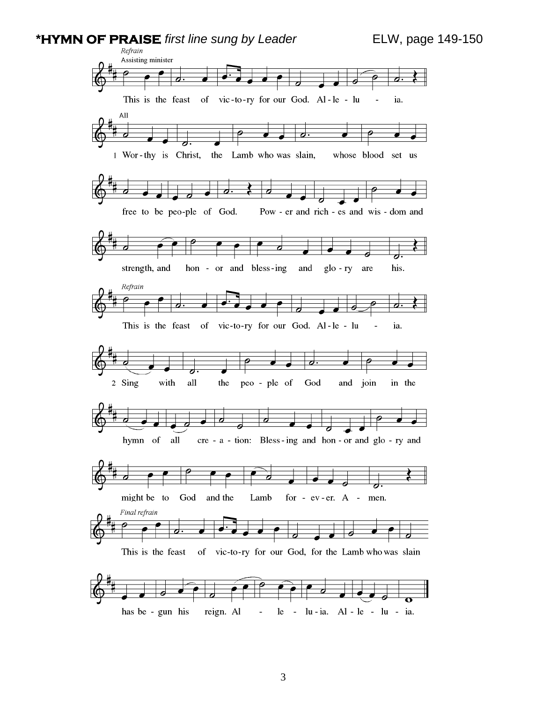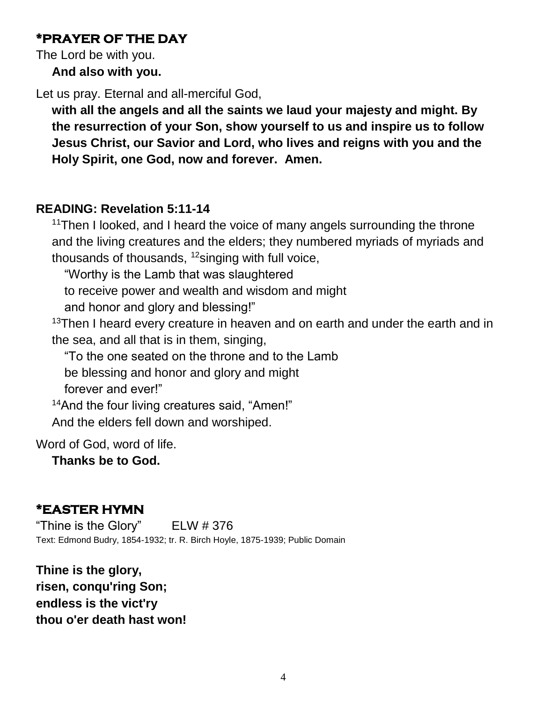## **\*PRAYER OF THE DAY**

The Lord be with you.

**And also with you.**

Let us pray. Eternal and all-merciful God,

**with all the angels and all the saints we laud your majesty and might. By the resurrection of your Son, show yourself to us and inspire us to follow Jesus Christ, our Savior and Lord, who lives and reigns with you and the Holy Spirit, one God, now and forever. Amen.**

## **READING: Revelation 5:11-14**

<sup>11</sup>Then I looked, and I heard the voice of many angels surrounding the throne and the living creatures and the elders; they numbered myriads of myriads and thousands of thousands,  $12$  singing with full voice,

"Worthy is the Lamb that was slaughtered

to receive power and wealth and wisdom and might

and honor and glory and blessing!"

 $13$ Then I heard every creature in heaven and on earth and under the earth and in the sea, and all that is in them, singing,

"To the one seated on the throne and to the Lamb

be blessing and honor and glory and might

forever and ever!"

<sup>14</sup>And the four living creatures said, "Amen!" And the elders fell down and worshiped.

Word of God, word of life.

**Thanks be to God.**

# **\*EASTER HYMN**

"Thine is the Glory" ELW # 376 Text: Edmond Budry, 1854-1932; tr. R. Birch Hoyle, 1875-1939; Public Domain

**Thine is the glory, risen, conqu'ring Son; endless is the vict'ry thou o'er death hast won!**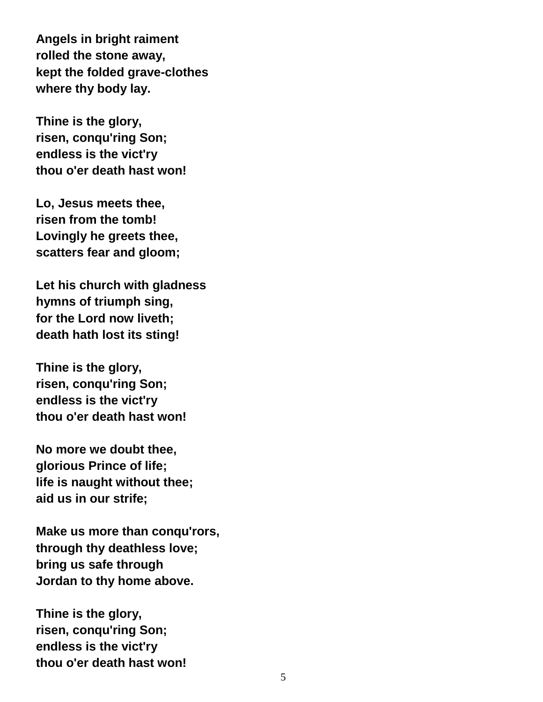**Angels in bright raiment rolled the stone away, kept the folded grave-clothes where thy body lay.**

**Thine is the glory, risen, conqu'ring Son; endless is the vict'ry thou o'er death hast won!**

**Lo, Jesus meets thee, risen from the tomb! Lovingly he greets thee, scatters fear and gloom;**

**Let his church with gladness hymns of triumph sing, for the Lord now liveth; death hath lost its sting!** 

**Thine is the glory, risen, conqu'ring Son; endless is the vict'ry thou o'er death hast won!**

**No more we doubt thee, glorious Prince of life; life is naught without thee; aid us in our strife;**

**Make us more than conqu'rors, through thy deathless love; bring us safe through Jordan to thy home above.** 

**Thine is the glory, risen, conqu'ring Son; endless is the vict'ry thou o'er death hast won!**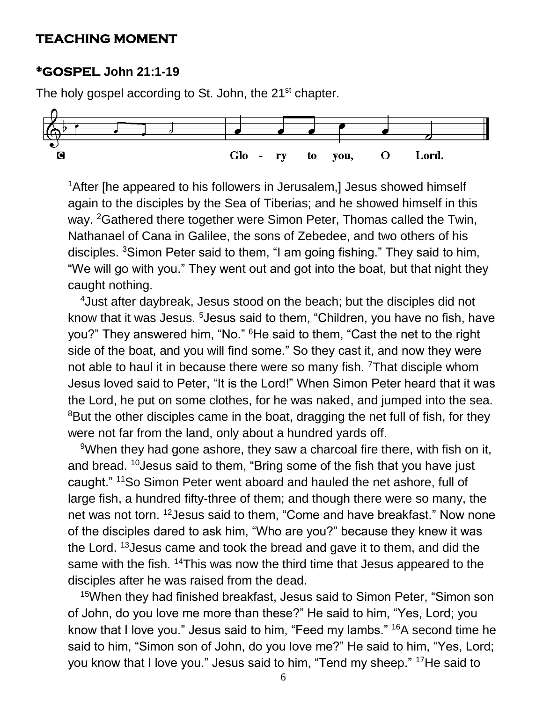#### **TEACHING MOMENT**

#### **\*GOSPEL John 21:1-19**

The holy gospel according to St. John, the 21<sup>st</sup> chapter.



<sup>1</sup> After [he appeared to his followers in Jerusalem,] Jesus showed himself again to the disciples by the Sea of Tiberias; and he showed himself in this way. <sup>2</sup>Gathered there together were Simon Peter. Thomas called the Twin. Nathanael of Cana in Galilee, the sons of Zebedee, and two others of his disciples. <sup>3</sup>Simon Peter said to them, "I am going fishing." They said to him, "We will go with you." They went out and got into the boat, but that night they caught nothing.

<sup>4</sup>Just after daybreak, Jesus stood on the beach; but the disciples did not know that it was Jesus. <sup>5</sup>Jesus said to them, "Children, you have no fish, have you?" They answered him, "No." <sup>6</sup>He said to them, "Cast the net to the right side of the boat, and you will find some." So they cast it, and now they were not able to haul it in because there were so many fish. <sup>7</sup>That disciple whom Jesus loved said to Peter, "It is the Lord!" When Simon Peter heard that it was the Lord, he put on some clothes, for he was naked, and jumped into the sea. <sup>8</sup>But the other disciples came in the boat, dragging the net full of fish, for they were not far from the land, only about a hundred yards off.

<sup>9</sup>When they had gone ashore, they saw a charcoal fire there, with fish on it, and bread. <sup>10</sup> Jesus said to them, "Bring some of the fish that you have just caught." <sup>11</sup>So Simon Peter went aboard and hauled the net ashore, full of large fish, a hundred fifty-three of them; and though there were so many, the net was not torn. <sup>12</sup>Jesus said to them, "Come and have breakfast." Now none of the disciples dared to ask him, "Who are you?" because they knew it was the Lord. <sup>13</sup>Jesus came and took the bread and gave it to them, and did the same with the fish. <sup>14</sup>This was now the third time that Jesus appeared to the disciples after he was raised from the dead.

<sup>15</sup>When they had finished breakfast, Jesus said to Simon Peter, "Simon son of John, do you love me more than these?" He said to him, "Yes, Lord; you know that I love you." Jesus said to him, "Feed my lambs." <sup>16</sup>A second time he said to him, "Simon son of John, do you love me?" He said to him, "Yes, Lord; you know that I love you." Jesus said to him, "Tend my sheep." 17He said to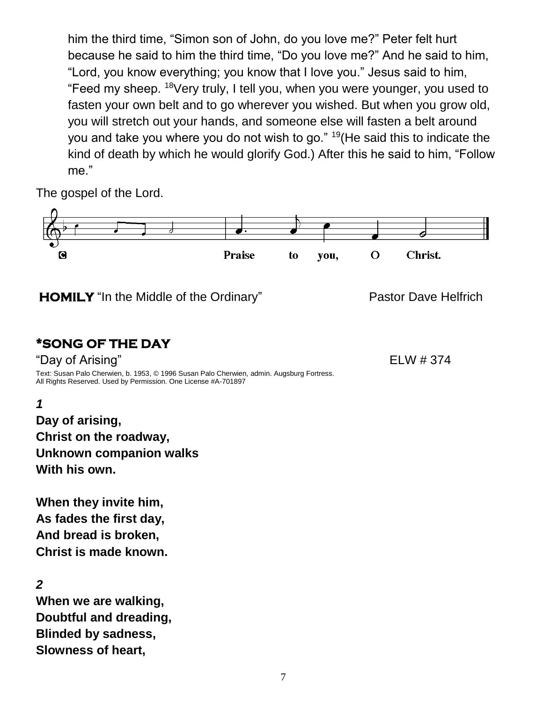him the third time, "Simon son of John, do you love me?" Peter felt hurt because he said to him the third time, "Do you love me?" And he said to him, "Lord, you know everything; you know that I love you." Jesus said to him, "Feed my sheep. <sup>18</sup>Very truly, I tell you, when you were younger, you used to fasten your own belt and to go wherever you wished. But when you grow old, you will stretch out your hands, and someone else will fasten a belt around you and take you where you do not wish to go." <sup>19</sup>(He said this to indicate the kind of death by which he would glorify God.) After this he said to him, "Follow me."

The gospel of the Lord.



**Blinded by sadness, Slowness of heart,**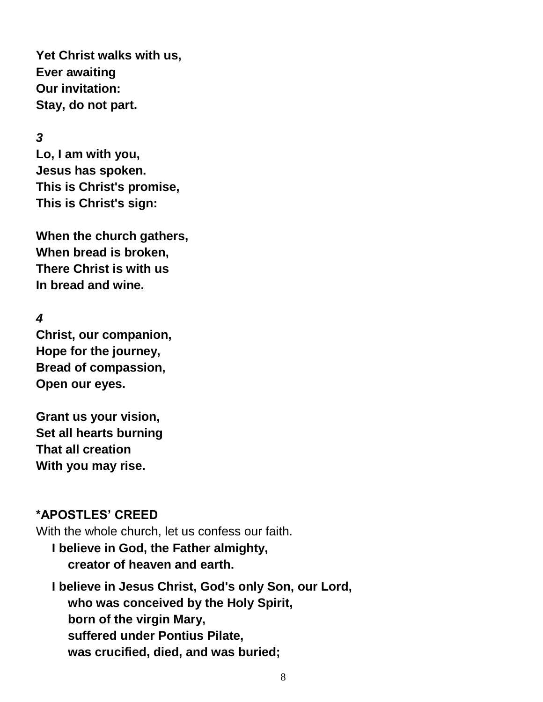**Yet Christ walks with us, Ever awaiting Our invitation: Stay, do not part.**

#### *3*

**Lo, I am with you, Jesus has spoken. This is Christ's promise, This is Christ's sign:**

**When the church gathers, When bread is broken, There Christ is with us In bread and wine.**

#### *4*

**Christ, our companion, Hope for the journey, Bread of compassion, Open our eyes.**

**Grant us your vision, Set all hearts burning That all creation With you may rise.**

#### **\*APOSTLES' CREED**

With the whole church, let us confess our faith.

**I believe in God, the Father almighty, creator of heaven and earth.**

**I believe in Jesus Christ, God's only Son, our Lord, who was conceived by the Holy Spirit, born of the virgin Mary, suffered under Pontius Pilate, was crucified, died, and was buried;**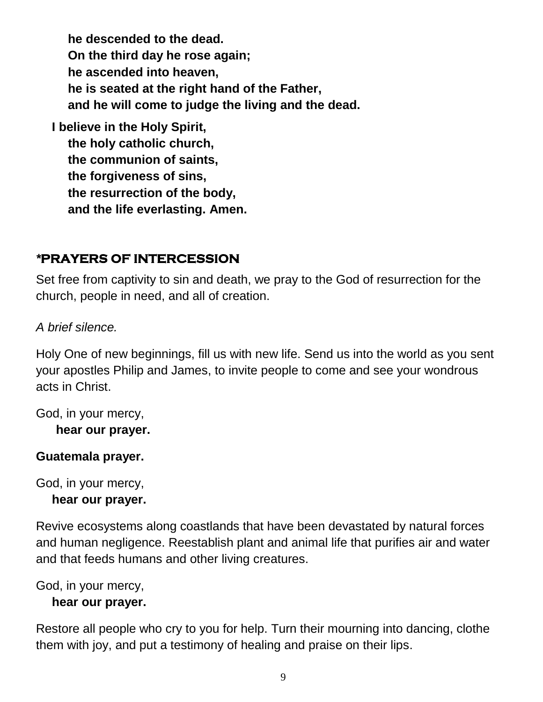**he descended to the dead. On the third day he rose again; he ascended into heaven, he is seated at the right hand of the Father, and he will come to judge the living and the dead.**

**I believe in the Holy Spirit, the holy catholic church, the communion of saints, the forgiveness of sins, the resurrection of the body, and the life everlasting. Amen.**

# *\****PRAYERS OF INTERCESSION**

Set free from captivity to sin and death, we pray to the God of resurrection for the church, people in need, and all of creation.

*A brief silence.*

Holy One of new beginnings, fill us with new life. Send us into the world as you sent your apostles Philip and James, to invite people to come and see your wondrous acts in Christ.

God, in your mercy,

**hear our prayer.**

### **Guatemala prayer.**

God, in your mercy,

#### **hear our prayer.**

Revive ecosystems along coastlands that have been devastated by natural forces and human negligence. Reestablish plant and animal life that purifies air and water and that feeds humans and other living creatures.

God, in your mercy,

### **hear our prayer.**

Restore all people who cry to you for help. Turn their mourning into dancing, clothe them with joy, and put a testimony of healing and praise on their lips.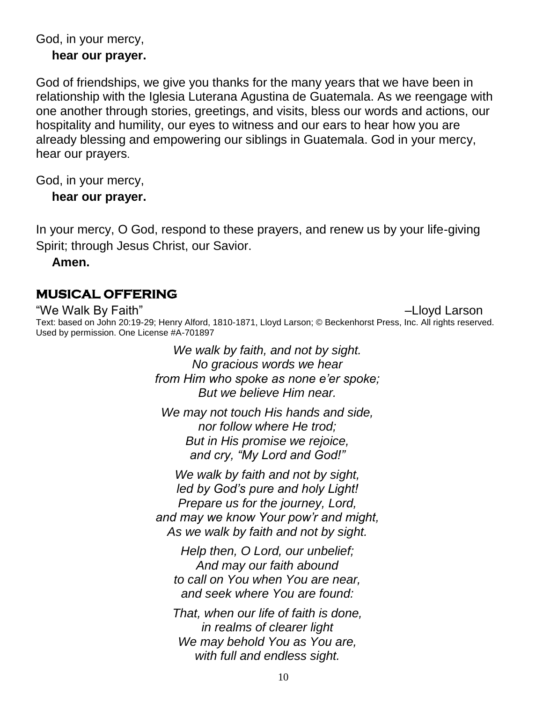#### God, in your mercy,

#### **hear our prayer.**

God of friendships, we give you thanks for the many years that we have been in relationship with the Iglesia Luterana Agustina de Guatemala. As we reengage with one another through stories, greetings, and visits, bless our words and actions, our hospitality and humility, our eyes to witness and our ears to hear how you are already blessing and empowering our siblings in Guatemala. God in your mercy, hear our prayers.

God, in your mercy,

**hear our prayer.**

In your mercy, O God, respond to these prayers, and renew us by your life-giving Spirit; through Jesus Christ, our Savior.

**Amen.**

### **MUSICAL OFFERING**

"We Walk By Faith" –Lloyd Larson Text: based on John 20:19-29; Henry Alford, 1810-1871, Lloyd Larson; © Beckenhorst Press, Inc. All rights reserved. Used by permission. One License #A-701897

> *We walk by faith, and not by sight. No gracious words we hear from Him who spoke as none e'er spoke; But we believe Him near.*

*We may not touch His hands and side, nor follow where He trod; But in His promise we rejoice, and cry, "My Lord and God!"*

*We walk by faith and not by sight, led by God's pure and holy Light! Prepare us for the journey, Lord, and may we know Your pow'r and might, As we walk by faith and not by sight.*

*Help then, O Lord, our unbelief; And may our faith abound to call on You when You are near, and seek where You are found:*

*That, when our life of faith is done, in realms of clearer light We may behold You as You are, with full and endless sight.*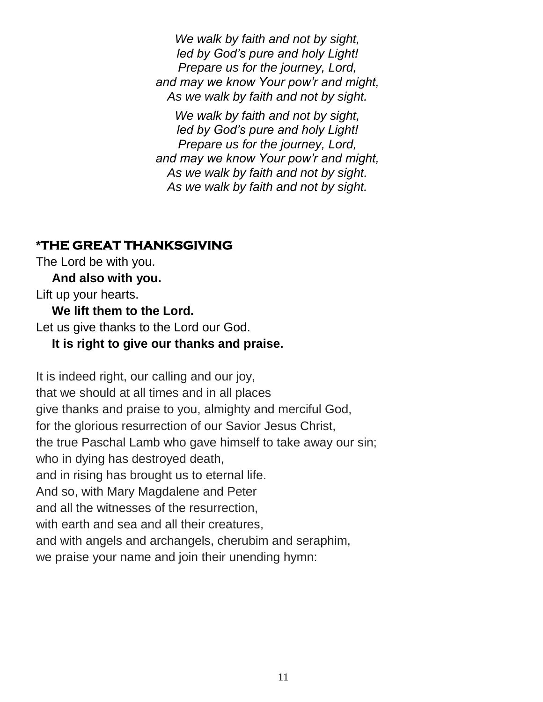*We walk by faith and not by sight, led by God's pure and holy Light! Prepare us for the journey, Lord, and may we know Your pow'r and might, As we walk by faith and not by sight.*

*We walk by faith and not by sight, led by God's pure and holy Light! Prepare us for the journey, Lord, and may we know Your pow'r and might, As we walk by faith and not by sight. As we walk by faith and not by sight.*

### **\*THE GREAT THANKSGIVING**

The Lord be with you.

**And also with you.**

Lift up your hearts.

**We lift them to the Lord.**

Let us give thanks to the Lord our God.

#### **It is right to give our thanks and praise.**

It is indeed right, our calling and our joy, that we should at all times and in all places give thanks and praise to you, almighty and merciful God, for the glorious resurrection of our Savior Jesus Christ, the true Paschal Lamb who gave himself to take away our sin; who in dying has destroyed death, and in rising has brought us to eternal life. And so, with Mary Magdalene and Peter and all the witnesses of the resurrection, with earth and sea and all their creatures, and with angels and archangels, cherubim and seraphim, we praise your name and join their unending hymn: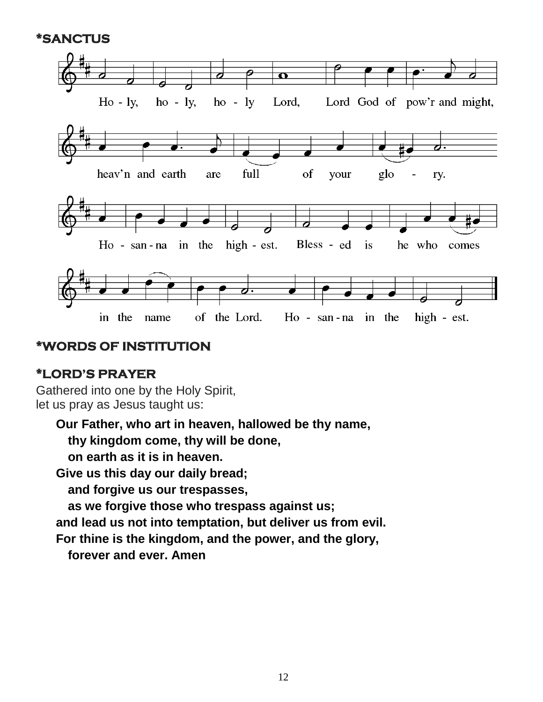**\*SANCTUS** 



#### **\*WORDS OF INSTITUTION**

#### **\*LORD'S PRAYER**

Gathered into one by the Holy Spirit, let us pray as Jesus taught us:

**Our Father, who art in heaven, hallowed be thy name,**

**thy kingdom come, thy will be done,** 

**on earth as it is in heaven.**

**Give us this day our daily bread;** 

**and forgive us our trespasses,**

**as we forgive those who trespass against us;**

**and lead us not into temptation, but deliver us from evil.**

**For thine is the kingdom, and the power, and the glory,**

**forever and ever. Amen**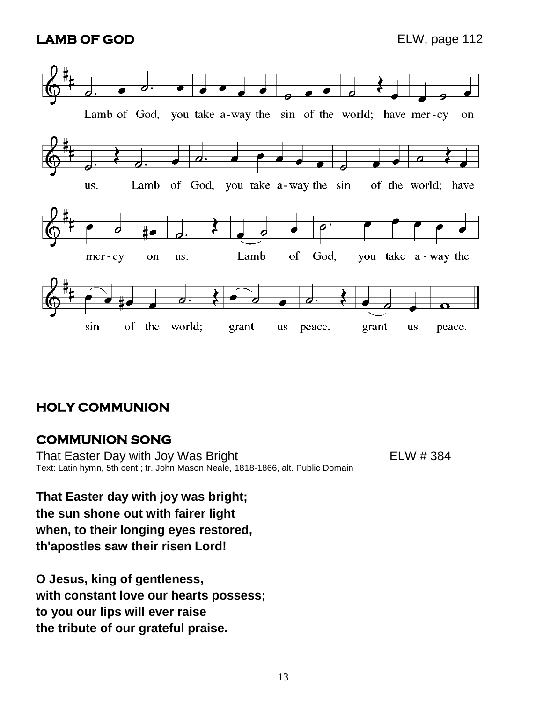### **LAMB OF GOD** ELW, page 112



### **HOLY COMMUNION**

#### **COMMUNION SONG**

That Easter Day with Joy Was Bright That ELW # 384 Text: Latin hymn, 5th cent.; tr. John Mason Neale, 1818-1866, alt. Public Domain

**That Easter day with joy was bright; the sun shone out with fairer light when, to their longing eyes restored, th'apostles saw their risen Lord!**

**O Jesus, king of gentleness, with constant love our hearts possess; to you our lips will ever raise the tribute of our grateful praise.**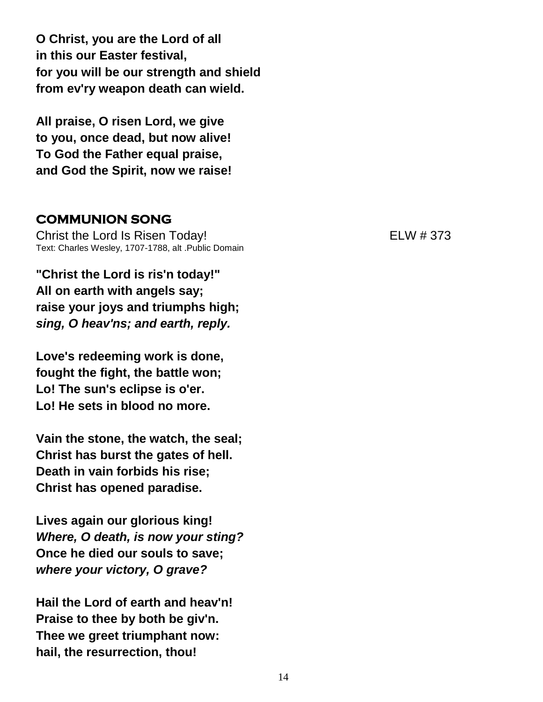**O Christ, you are the Lord of all in this our Easter festival, for you will be our strength and shield from ev'ry weapon death can wield.**

**All praise, O risen Lord, we give to you, once dead, but now alive! To God the Father equal praise, and God the Spirit, now we raise!**

#### **COMMUNION SONG**

Christ the Lord Is Risen Today! ELW # 373 Text: Charles Wesley, 1707-1788, alt .Public Domain

**"Christ the Lord is ris'n today!" All on earth with angels say; raise your joys and triumphs high;** *sing, O heav'ns; and earth, reply.*

**Love's redeeming work is done, fought the fight, the battle won; Lo! The sun's eclipse is o'er. Lo! He sets in blood no more.**

**Vain the stone, the watch, the seal; Christ has burst the gates of hell. Death in vain forbids his rise; Christ has opened paradise.**

**Lives again our glorious king!** *Where, O death, is now your sting?* **Once he died our souls to save;** *where your victory, O grave?*

**Hail the Lord of earth and heav'n! Praise to thee by both be giv'n. Thee we greet triumphant now: hail, the resurrection, thou!**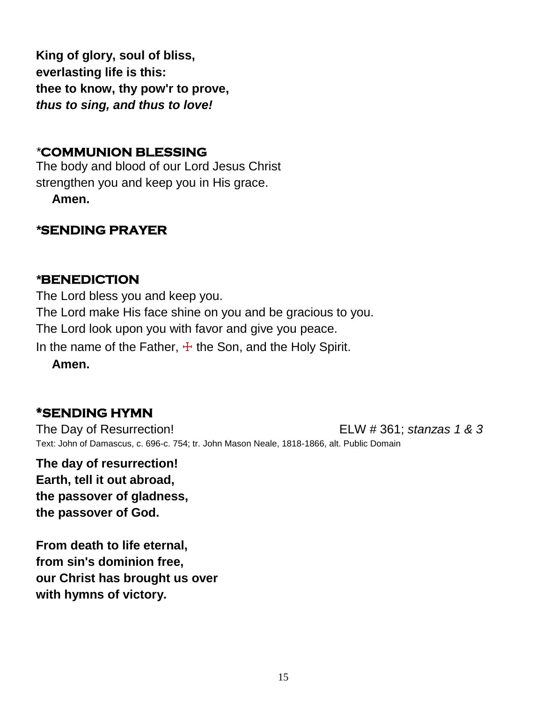**King of glory, soul of bliss, everlasting life is this: thee to know, thy pow'r to prove,** *thus to sing, and thus to love!*

### *\****COMMUNION BLESSING**

The body and blood of our Lord Jesus Christ strengthen you and keep you in His grace.

**Amen.**

# *\****SENDING PRAYER**

### *\****BENEDICTION**

The Lord bless you and keep you. The Lord make His face shine on you and be gracious to you. The Lord look upon you with favor and give you peace. In the name of the Father,  $\pm$  the Son, and the Holy Spirit.

**Amen.**

# **\*SENDING HYMN**

The Day of Resurrection! ELW # 361; *stanzas 1 & 3* Text: John of Damascus, c. 696-c. 754; tr. John Mason Neale, 1818-1866, alt. Public Domain

**The day of resurrection! Earth, tell it out abroad, the passover of gladness, the passover of God.**

**From death to life eternal, from sin's dominion free, our Christ has brought us over with hymns of victory.**